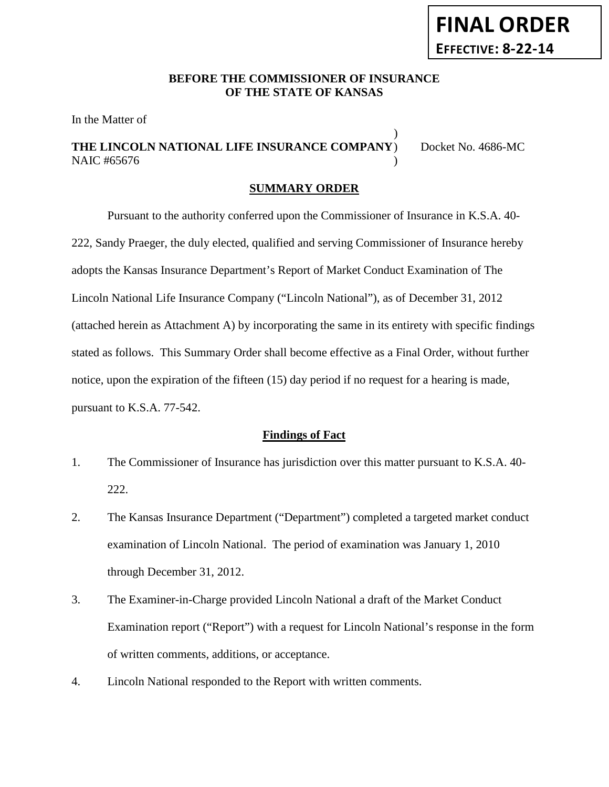### **BEFORE THE COMMISSIONER OF INSURANCE OF THE STATE OF KANSAS**

In the Matter of

# **THE LINCOLN NATIONAL LIFE INSURANCE COMPANY**) Docket No. 4686-MC NAIC #65676

)

#### **SUMMARY ORDER**

Pursuant to the authority conferred upon the Commissioner of Insurance in K.S.A. 40- 222, Sandy Praeger, the duly elected, qualified and serving Commissioner of Insurance hereby adopts the Kansas Insurance Department's Report of Market Conduct Examination of The Lincoln National Life Insurance Company ("Lincoln National"), as of December 31, 2012 (attached herein as Attachment A) by incorporating the same in its entirety with specific findings stated as follows. This Summary Order shall become effective as a Final Order, without further notice, upon the expiration of the fifteen (15) day period if no request for a hearing is made, pursuant to K.S.A. 77-542.

#### **Findings of Fact**

- 1. The Commissioner of Insurance has jurisdiction over this matter pursuant to K.S.A. 40- 222.
- 2. The Kansas Insurance Department ("Department") completed a targeted market conduct examination of Lincoln National. The period of examination was January 1, 2010 through December 31, 2012.
- 3. The Examiner-in-Charge provided Lincoln National a draft of the Market Conduct Examination report ("Report") with a request for Lincoln National's response in the form of written comments, additions, or acceptance.
- 4. Lincoln National responded to the Report with written comments.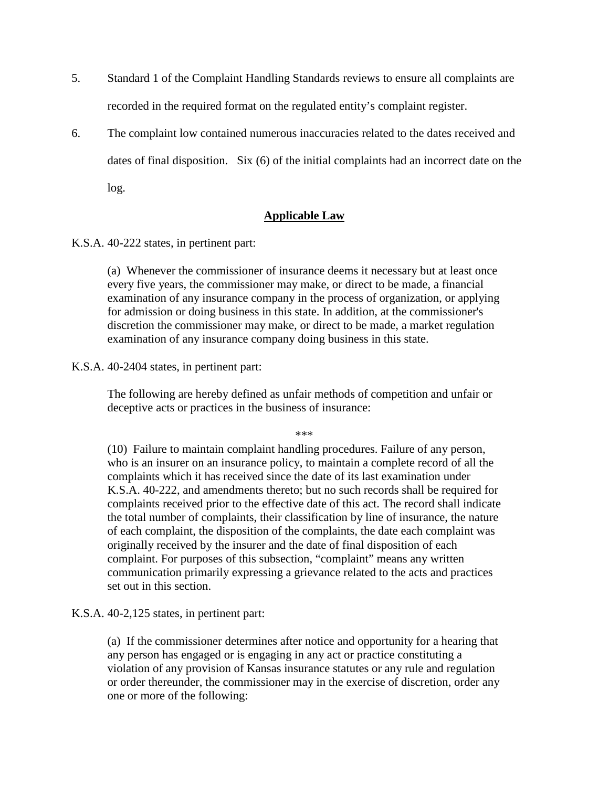- 5. Standard 1 of the Complaint Handling Standards reviews to ensure all complaints are recorded in the required format on the regulated entity's complaint register.
- 6. The complaint low contained numerous inaccuracies related to the dates received and dates of final disposition. Six (6) of the initial complaints had an incorrect date on the log.

### **Applicable Law**

K.S.A. 40-222 states, in pertinent part:

(a) Whenever the commissioner of insurance deems it necessary but at least once every five years, the commissioner may make, or direct to be made, a financial examination of any insurance company in the process of organization, or applying for admission or doing business in this state. In addition, at the commissioner's discretion the commissioner may make, or direct to be made, a market regulation examination of any insurance company doing business in this state.

#### K.S.A. 40-2404 states, in pertinent part:

The following are hereby defined as unfair methods of competition and unfair or deceptive acts or practices in the business of insurance:

\*\*\*

(10) Failure to maintain complaint handling procedures. Failure of any person, who is an insurer on an insurance policy, to maintain a complete record of all the complaints which it has received since the date of its last examination under K.S.A. 40-222, and amendments thereto; but no such records shall be required for complaints received prior to the effective date of this act. The record shall indicate the total number of complaints, their classification by line of insurance, the nature of each complaint, the disposition of the complaints, the date each complaint was originally received by the insurer and the date of final disposition of each complaint. For purposes of this subsection, "complaint" means any written communication primarily expressing a grievance related to the acts and practices set out in this section.

K.S.A. 40-2,125 states, in pertinent part:

(a) If the commissioner determines after notice and opportunity for a hearing that any person has engaged or is engaging in any act or practice constituting a violation of any provision of Kansas insurance statutes or any rule and regulation or order thereunder, the commissioner may in the exercise of discretion, order any one or more of the following: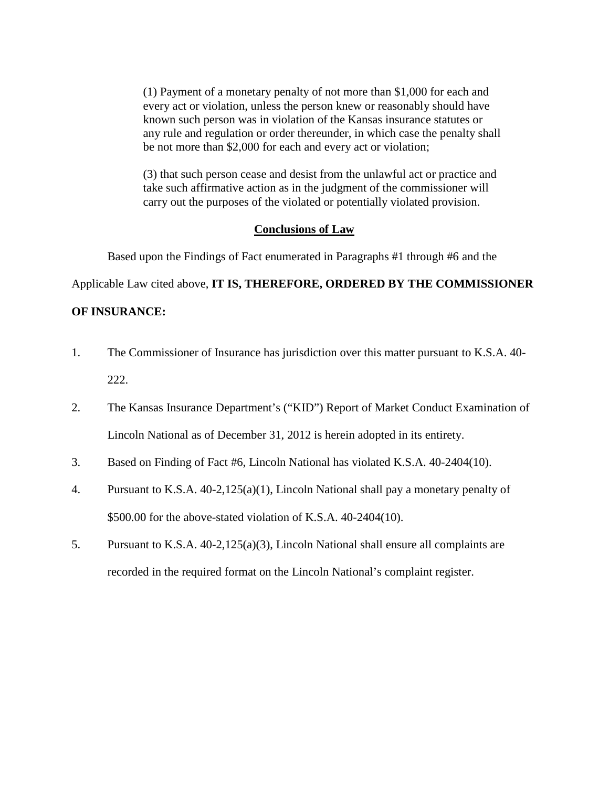(1) Payment of a monetary penalty of not more than \$1,000 for each and every act or violation, unless the person knew or reasonably should have known such person was in violation of the Kansas insurance statutes or any rule and regulation or order thereunder, in which case the penalty shall be not more than \$2,000 for each and every act or violation;

(3) that such person cease and desist from the unlawful act or practice and take such affirmative action as in the judgment of the commissioner will carry out the purposes of the violated or potentially violated provision.

#### **Conclusions of Law**

Based upon the Findings of Fact enumerated in Paragraphs #1 through #6 and the

Applicable Law cited above, **IT IS, THEREFORE, ORDERED BY THE COMMISSIONER** 

### **OF INSURANCE:**

- 1. The Commissioner of Insurance has jurisdiction over this matter pursuant to K.S.A. 40- 222.
- 2. The Kansas Insurance Department's ("KID") Report of Market Conduct Examination of Lincoln National as of December 31, 2012 is herein adopted in its entirety.
- 3. Based on Finding of Fact #6, Lincoln National has violated K.S.A. 40-2404(10).
- 4. Pursuant to K.S.A. 40-2,125(a)(1), Lincoln National shall pay a monetary penalty of \$500.00 for the above-stated violation of K.S.A. 40-2404(10).
- 5. Pursuant to K.S.A. 40-2,125(a)(3), Lincoln National shall ensure all complaints are recorded in the required format on the Lincoln National's complaint register.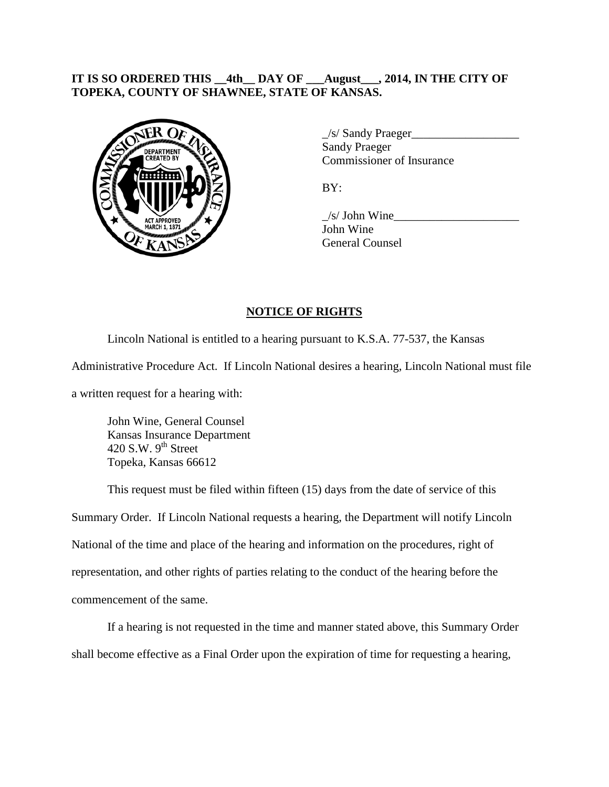## **IT IS SO ORDERED THIS \_\_4th\_\_ DAY OF \_\_\_August\_\_\_, 2014, IN THE CITY OF TOPEKA, COUNTY OF SHAWNEE, STATE OF KANSAS.**



\_/s/ Sandy Praeger\_\_\_\_\_\_\_\_\_\_\_\_\_\_\_\_\_\_ Sandy Praeger Commissioner of Insurance

BY:

 $\frac{1}{s}$  John Wine John Wine General Counsel

## **NOTICE OF RIGHTS**

Lincoln National is entitled to a hearing pursuant to K.S.A. 77-537, the Kansas Administrative Procedure Act. If Lincoln National desires a hearing, Lincoln National must file

a written request for a hearing with:

John Wine, General Counsel Kansas Insurance Department 420 S.W.  $9<sup>th</sup>$  Street Topeka, Kansas 66612

This request must be filed within fifteen (15) days from the date of service of this Summary Order. If Lincoln National requests a hearing, the Department will notify Lincoln National of the time and place of the hearing and information on the procedures, right of representation, and other rights of parties relating to the conduct of the hearing before the commencement of the same.

If a hearing is not requested in the time and manner stated above, this Summary Order shall become effective as a Final Order upon the expiration of time for requesting a hearing,